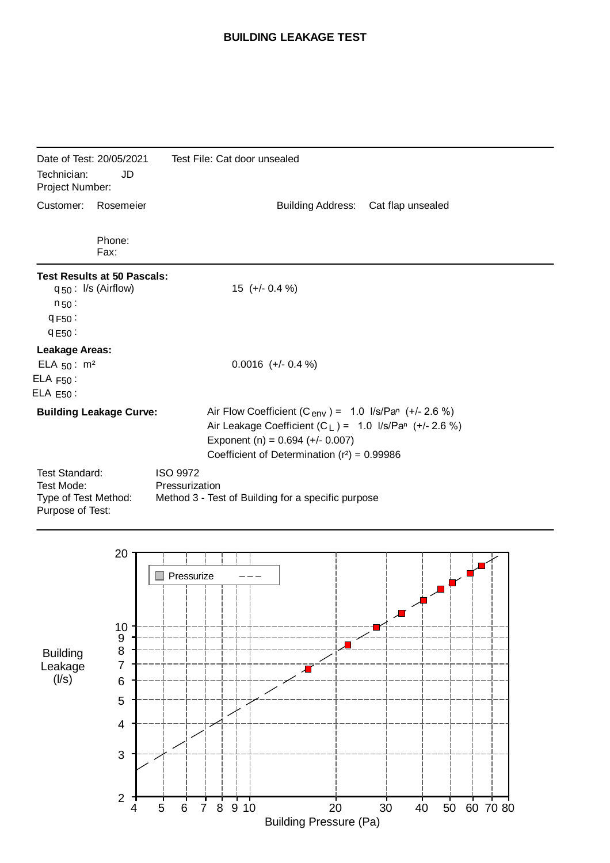## **BUILDING LEAKAGE TEST**

| Date of Test: 20/05/2021<br>Technician:<br>JD<br>Project Number:     |                                                                                                                                                              | Test File: Cat door unsealed                                                                                                                                                                                              |  |
|----------------------------------------------------------------------|--------------------------------------------------------------------------------------------------------------------------------------------------------------|---------------------------------------------------------------------------------------------------------------------------------------------------------------------------------------------------------------------------|--|
| Customer:                                                            | Rosemeier                                                                                                                                                    | <b>Building Address:</b><br>Cat flap unsealed                                                                                                                                                                             |  |
|                                                                      | Phone:<br>Fax:                                                                                                                                               |                                                                                                                                                                                                                           |  |
| $n_{50}$ :<br>9F50:<br>9E50:                                         | <b>Test Results at 50 Pascals:</b><br>$q_{50}$ : I/s (Airflow)                                                                                               | $15 (+/- 0.4 %)$                                                                                                                                                                                                          |  |
| <b>Leakage Areas:</b><br>ELA $50: m^2$<br>$ELA F50$ :<br>$ELA E50$ : |                                                                                                                                                              | $0.0016$ (+/- 0.4 %)                                                                                                                                                                                                      |  |
|                                                                      | <b>Building Leakage Curve:</b>                                                                                                                               | Air Flow Coefficient (C <sub>env</sub> ) = 1.0 $1/s/Par$ (+/- 2.6 %)<br>Air Leakage Coefficient $(C_L) = 1.0$ I/s/Pan (+/- 2.6 %)<br>Exponent (n) = $0.694$ (+/- 0.007)<br>Coefficient of Determination $(r^2) = 0.99986$ |  |
| Test Mode:                                                           | <b>Test Standard:</b><br><b>ISO 9972</b><br>Pressurization<br>Type of Test Method:<br>Method 3 - Test of Building for a specific purpose<br>Purpose of Test: |                                                                                                                                                                                                                           |  |

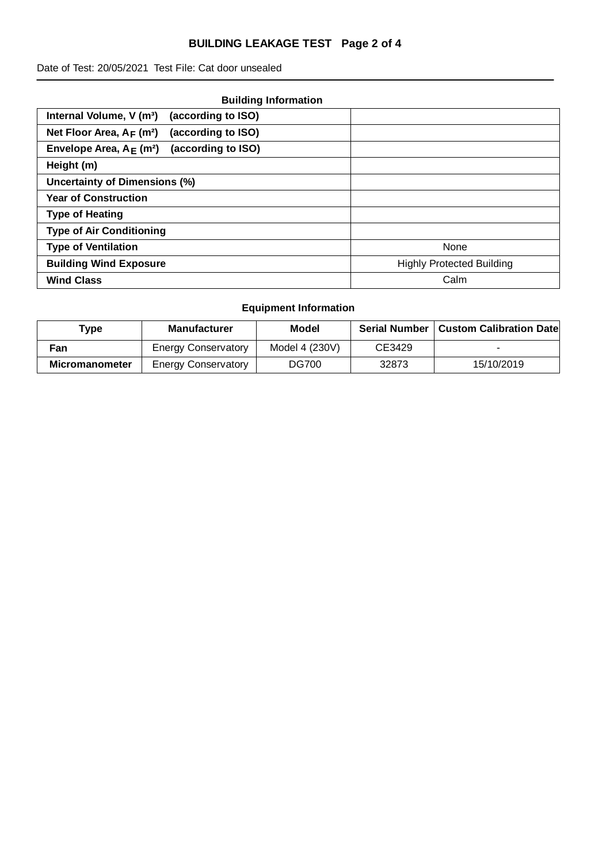# **BUILDING LEAKAGE TEST Page 2 of 4**

Date of Test: 20/05/2021 Test File: Cat door unsealed

| <b>Building Information</b>                                   |                                  |
|---------------------------------------------------------------|----------------------------------|
| (according to ISO)<br>Internal Volume, V (m <sup>3</sup> )    |                                  |
| Net Floor Area, $A_F$ (m <sup>2</sup> )<br>(according to ISO) |                                  |
| (according to ISO)<br>Envelope Area, $A_F$ (m <sup>2</sup> )  |                                  |
| Height (m)                                                    |                                  |
| <b>Uncertainty of Dimensions (%)</b>                          |                                  |
| <b>Year of Construction</b>                                   |                                  |
| <b>Type of Heating</b>                                        |                                  |
| <b>Type of Air Conditioning</b>                               |                                  |
| <b>Type of Ventilation</b>                                    | None                             |
| <b>Building Wind Exposure</b>                                 | <b>Highly Protected Building</b> |
| <b>Wind Class</b>                                             | Calm                             |

# **Equipment Information**

| Type           | <b>Manufacturer</b>        | Model          | <b>Serial Number</b> | <b>Custom Calibration Date</b> |
|----------------|----------------------------|----------------|----------------------|--------------------------------|
| Fan            | <b>Energy Conservatory</b> | Model 4 (230V) | CE3429               |                                |
| Micromanometer | <b>Energy Conservatory</b> | DG700          | 32873                | 15/10/2019                     |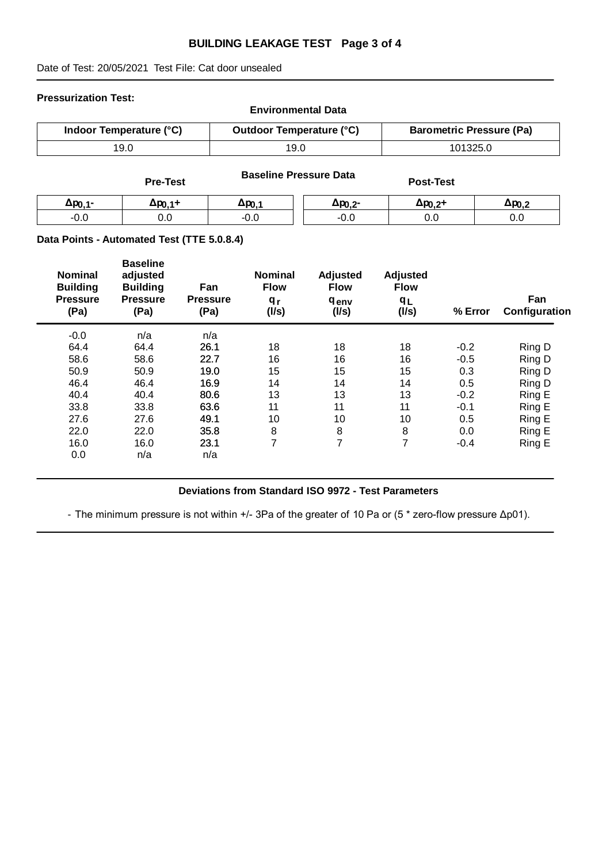### **BUILDING LEAKAGE TEST Page 3 of 4**

Date of Test: 20/05/2021 Test File: Cat door unsealed

#### **Pressurization Test:**

| <b>Environmental Data</b> |                                 |                                 |  |  |  |
|---------------------------|---------------------------------|---------------------------------|--|--|--|
| Indoor Temperature (°C)   | <b>Outdoor Temperature (°C)</b> | <b>Barometric Pressure (Pa)</b> |  |  |  |
| 19.0                      | 19.0                            | 101325.0                        |  |  |  |

|                     | <b>Pre-Test</b> |                   | <b>Baseline Pressure Data</b> | <b>Post-Test</b>  |                  |
|---------------------|-----------------|-------------------|-------------------------------|-------------------|------------------|
| Δp <sub>0.1</sub> - | ∆ро 1+          | Δр <sub>0.1</sub> | Δp <sub>0.2</sub> -           | $\Delta p_{0,2}+$ | $\Delta p_{0.2}$ |
| $-0.0$              | ວ.໐             | $-0.0$            | $-0.0$                        | 0.0               | 0.0              |

### **Data Points - Automated Test (TTE 5.0.8.4)**

| <b>Nominal</b><br><b>Building</b><br><b>Pressure</b><br>(Pa) | <b>Baseline</b><br>adjusted<br><b>Building</b><br><b>Pressure</b><br>(Pa) | Fan<br><b>Pressure</b><br>(Pa) | <b>Nominal</b><br><b>Flow</b><br>q <sub>r</sub><br>(1/s) | Adjusted<br><b>Flow</b><br><b>genv</b><br>(1/s) | Adjusted<br><b>Flow</b><br>qr<br>(1/s) | % Error | Fan<br>Configuration |
|--------------------------------------------------------------|---------------------------------------------------------------------------|--------------------------------|----------------------------------------------------------|-------------------------------------------------|----------------------------------------|---------|----------------------|
| $-0.0$                                                       | n/a                                                                       | n/a                            |                                                          |                                                 |                                        |         |                      |
| 64.4                                                         | 64.4                                                                      | 26.1                           | 18                                                       | 18                                              | 18                                     | $-0.2$  | Ring D               |
| 58.6                                                         | 58.6                                                                      | 22.7                           | 16                                                       | 16                                              | 16                                     | $-0.5$  | Ring D               |
| 50.9                                                         | 50.9                                                                      | 19.0                           | 15                                                       | 15                                              | 15                                     | 0.3     | Ring D               |
| 46.4                                                         | 46.4                                                                      | 16.9                           | 14                                                       | 14                                              | 14                                     | 0.5     | Ring D               |
| 40.4                                                         | 40.4                                                                      | 80.6                           | 13                                                       | 13                                              | 13                                     | $-0.2$  | Ring E               |
| 33.8                                                         | 33.8                                                                      | 63.6                           | 11                                                       | 11                                              | 11                                     | $-0.1$  | Ring E               |
| 27.6                                                         | 27.6                                                                      | 49.1                           | 10                                                       | 10                                              | 10                                     | 0.5     | Ring E               |
| 22.0                                                         | 22.0                                                                      | 35.8                           | 8                                                        | 8                                               | 8                                      | 0.0     | Ring E               |
| 16.0                                                         | 16.0                                                                      | 23.1                           | $\overline{7}$                                           | $\overline{7}$                                  | $\overline{7}$                         | $-0.4$  | Ring E               |
| 0.0                                                          | n/a                                                                       | n/a                            |                                                          |                                                 |                                        |         |                      |
|                                                              |                                                                           |                                |                                                          |                                                 |                                        |         |                      |

## **Deviations from Standard ISO 9972 - Test Parameters**

- The minimum pressure is not within +/- 3Pa of the greater of 10 Pa or (5 \* zero-flow pressure Δp01).